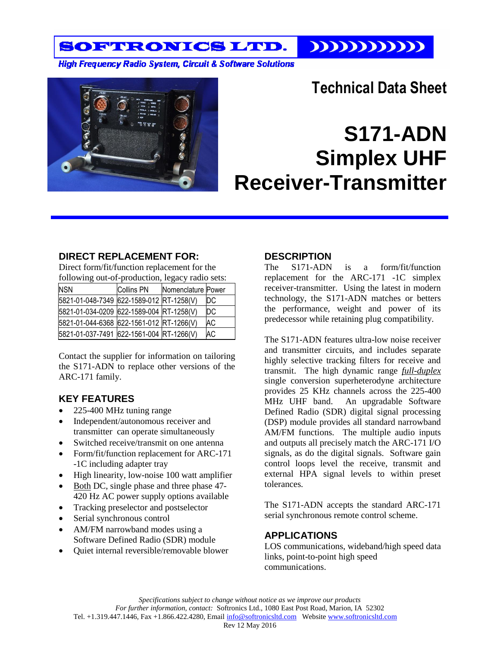SOFTRONICS LTD.  $111111111111$ 

**High Frequency Radio System, Circuit & Software Solutions** 



# **Technical Data Sheet**

# **S171-ADN Simplex UHF Receiver-Transmitter**

#### **DIRECT REPLACEMENT FOR:**

Direct form/fit/function replacement for the following out-of-production, legacy radio sets:

| <b>NSN</b>                               | <b>Collins PN</b> | Nomenclature Power |           |
|------------------------------------------|-------------------|--------------------|-----------|
| 5821-01-048-7349 622-1589-012 RT-1258(V) |                   |                    | DС        |
| 5821-01-034-0209 622-1589-004 RT-1258(V) |                   |                    | DC        |
| 5821-01-044-6368 622-1561-012 RT-1266(V) |                   |                    | <b>AC</b> |
| 5821-01-037-7491 622-1561-004 RT-1266(V) |                   |                    | <b>AC</b> |

Contact the supplier for information on tailoring the S171-ADN to replace other versions of the ARC-171 family.

## **KEY FEATURES**

- 225-400 MHz tuning range
- Independent/autonomous receiver and transmitter can operate simultaneously
- Switched receive/transmit on one antenna
- Form/fit/function replacement for ARC-171 -1C including adapter tray
- High linearity, low-noise 100 watt amplifier
- Both DC, single phase and three phase 47-420 Hz AC power supply options available
- Tracking preselector and postselector
- Serial synchronous control
- AM/FM narrowband modes using a Software Defined Radio (SDR) module
- Quiet internal reversible/removable blower

## **DESCRIPTION**

The S171-ADN is a form/fit/function replacement for the ARC-171 -1C simplex receiver-transmitter. Using the latest in modern technology, the S171-ADN matches or betters the performance, weight and power of its predecessor while retaining plug compatibility.

The S171-ADN features ultra-low noise receiver and transmitter circuits, and includes separate highly selective tracking filters for receive and transmit. The high dynamic range *full-duplex* single conversion superheterodyne architecture provides 25 KHz channels across the 225-400 MHz UHF band. An upgradable Software Defined Radio (SDR) digital signal processing (DSP) module provides all standard narrowband AM/FM functions. The multiple audio inputs and outputs all precisely match the ARC-171 I/O signals, as do the digital signals. Software gain control loops level the receive, transmit and external HPA signal levels to within preset tolerances.

The S171-ADN accepts the standard ARC-171 serial synchronous remote control scheme.

## **APPLICATIONS**

LOS communications, wideband/high speed data links, point-to-point high speed communications.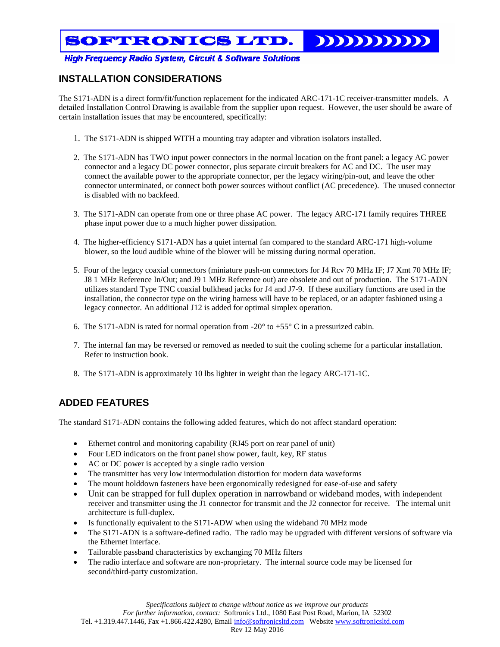# SOFTRONICS LTD.

**High Frequency Radio System, Circuit & Software Solutions** 

#### **INSTALLATION CONSIDERATIONS**

The S171-ADN is a direct form/fit/function replacement for the indicated ARC-171-1C receiver-transmitter models. A detailed Installation Control Drawing is available from the supplier upon request. However, the user should be aware of certain installation issues that may be encountered, specifically:

- 1. The S171-ADN is shipped WITH a mounting tray adapter and vibration isolators installed.
- 2. The S171-ADN has TWO input power connectors in the normal location on the front panel: a legacy AC power connector and a legacy DC power connector, plus separate circuit breakers for AC and DC. The user may connect the available power to the appropriate connector, per the legacy wiring/pin-out, and leave the other connector unterminated, or connect both power sources without conflict (AC precedence). The unused connector is disabled with no backfeed.
- 3. The S171-ADN can operate from one or three phase AC power. The legacy ARC-171 family requires THREE phase input power due to a much higher power dissipation.
- 4. The higher-efficiency S171-ADN has a quiet internal fan compared to the standard ARC-171 high-volume blower, so the loud audible whine of the blower will be missing during normal operation.
- 5. Four of the legacy coaxial connectors (miniature push-on connectors for J4 Rcv 70 MHz IF; J7 Xmt 70 MHz IF; J8 1 MHz Reference In/Out; and J9 1 MHz Reference out) are obsolete and out of production. The S171-ADN utilizes standard Type TNC coaxial bulkhead jacks for J4 and J7-9. If these auxiliary functions are used in the installation, the connector type on the wiring harness will have to be replaced, or an adapter fashioned using a legacy connector. An additional J12 is added for optimal simplex operation.
- 6. The S171-ADN is rated for normal operation from -20 $^{\circ}$  to +55 $^{\circ}$  C in a pressurized cabin.
- 7. The internal fan may be reversed or removed as needed to suit the cooling scheme for a particular installation. Refer to instruction book.
- 8. The S171-ADN is approximately 10 lbs lighter in weight than the legacy ARC-171-1C.

## **ADDED FEATURES**

The standard S171-ADN contains the following added features, which do not affect standard operation:

- Ethernet control and monitoring capability (RJ45 port on rear panel of unit)
- Four LED indicators on the front panel show power, fault, key, RF status
- AC or DC power is accepted by a single radio version
- The transmitter has very low intermodulation distortion for modern data waveforms
- The mount holddown fasteners have been ergonomically redesigned for ease-of-use and safety
- Unit can be strapped for full duplex operation in narrowband or wideband modes, with independent receiver and transmitter using the J1 connector for transmit and the J2 connector for receive. The internal unit architecture is full-duplex.
- Is functionally equivalent to the S171-ADW when using the wideband 70 MHz mode
- The S171-ADN is a software-defined radio. The radio may be upgraded with different versions of software via the Ethernet interface.
- Tailorable passband characteristics by exchanging 70 MHz filters
- The radio interface and software are non-proprietary. The internal source code may be licensed for second/third-party customization.